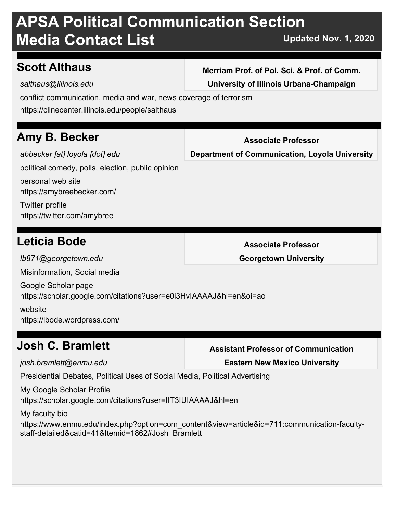## **Scott Althaus**

*salthaus@illinois.edu*

**Merriam Prof. of Pol. Sci. & Prof. of Comm. University of Illinois Urbana-Champaign**

conflict communication, media and war, news coverage of terrorism

https://clinecenter.illinois.edu/people/salthaus

## **Amy B. Becker**

*abbecker [at] loyola [dot] edu*

**Associate Professor Department of Communication, Loyola University**

political comedy, polls, election, public opinion

https://amybreebecker.com/ personal web site

https://twitter.com/amybree Twitter profile

## **Leticia Bode**

**Associate Professor**

**Georgetown University**

Misinformation, Social media

*lb871@georgetown.edu*

https://scholar.google.com/citations?user=e0i3HvIAAAAJ&hl=en&oi=ao Google Scholar page

https://lbode.wordpress.com/ website

## **Josh C. Bramlett**

*josh.bramlett@enmu.edu*

**Assistant Professor of Communication**

**Eastern New Mexico University**

Presidential Debates, Political Uses of Social Media, Political Advertising

https://scholar.google.com/citations?user=IIT3IUIAAAAJ&hl=en My Google Scholar Profile

My faculty bio

https://www.enmu.edu/index.php?option=com\_content&view=article&id=711:communication-facultystaff-detailed&catid=41&Itemid=1862#Josh\_Bramlett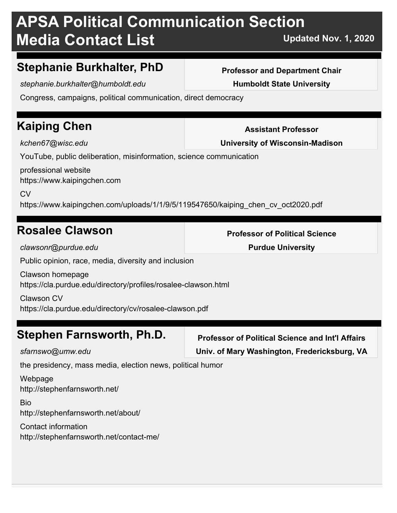## **Stephanie Burkhalter, PhD**

*stephanie.burkhalter@humboldt.edu*

Congress, campaigns, political communication, direct democracy

## **Kaiping Chen**

*kchen67@wisc.edu*

YouTube, public deliberation, misinformation, science communication

https://www.kaipingchen.com professional website

 $C<sub>V</sub>$ 

https://www.kaipingchen.com/uploads/1/1/9/5/119547650/kaiping\_chen\_cv\_oct2020.pdf

## **Rosalee Clawson**

*clawsonr@purdue.edu*

Public opinion, race, media, diversity and inclusion

https://cla.purdue.edu/directory/profiles/rosalee-clawson.html Clawson homepage

https://cla.purdue.edu/directory/cv/rosalee-clawson.pdf Clawson CV

## **Stephen Farnsworth, Ph.D.**

*sfarnswo@umw.edu*

**Professor of Political Science and Int'l Affairs Univ. of Mary Washington, Fredericksburg, VA**

the presidency, mass media, election news, political humor

http://stephenfarnsworth.net/ Webpage

http://stephenfarnsworth.net/about/ Bio

http://stephenfarnsworth.net/contact-me/ Contact information

**Professor and Department Chair Humboldt State University**

**Professor of Political Science Purdue University**



**Assistant Professor**

**University of Wisconsin-Madison**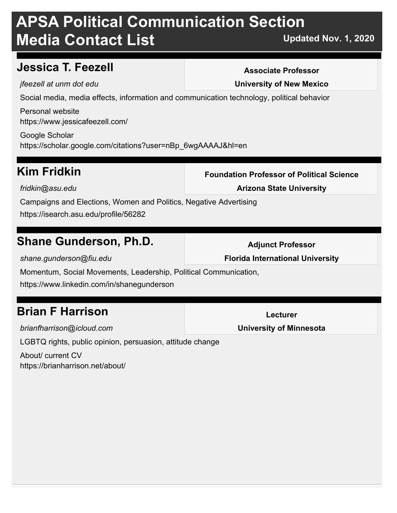## **Jessica T. Feezell**

#### **Associate Professor**

*jfeezell at unm dot edu*

**University of New Mexico**

Social media, media effects, information and communication technology, political behavior

https://www.jessicafeezell.com/ Personal website

https://scholar.google.com/citations?user=nBp\_6wgAAAAJ&hl=en Google Scholar

## **Kim Fridkin**

**Foundation Professor of Political Science**

*fridkin@asu.edu*

**Arizona State University**

Campaigns and Elections, Women and Politics, Negative Advertising https://isearch.asu.edu/profile/56282

## **Shane Gunderson, Ph.D.**

*shane.gunderson@fiu.edu*

**Adjunct Professor Florida International University**

Momentum, Social Movements, Leadership, Political Communication,

https://www.linkedin.com/in/shanegunderson

## **Brian F Harrison**

*brianfharrison@icloud.com*

LGBTQ rights, public opinion, persuasion, attitude change

https://brianharrison.net/about/ About/ current CV

**Lecturer**

**University of Minnesota**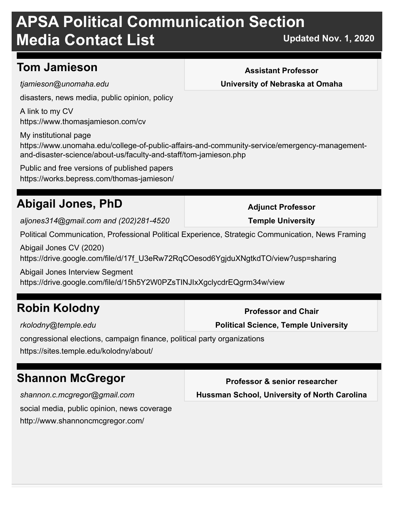## **Tom Jamieson**

*tjamieson@unomaha.edu*

disasters, news media, public opinion, policy

https://www.thomasjamieson.com/cv A link to my CV

My institutional page

https://www.unomaha.edu/college-of-public-affairs-and-community-service/emergency-managementand-disaster-science/about-us/faculty-and-staff/tom-jamieson.php

https://works.bepress.com/thomas-jamieson/ Public and free versions of published papers

## **Abigail Jones, PhD**

*aljones314@gmail.com and (202)281-4520*

Political Communication, Professional Political Experience, Strategic Communication, News Framing

https://drive.google.com/file/d/17f\_U3eRw72RqCOesod6YgjduXNgtkdTO/view?usp=sharing Abigail Jones CV (2020)

Abigail Jones Interview Segment

https://drive.google.com/file/d/15h5Y2W0PZsTINJIxXgclycdrEQgrm34w/view

## **Robin Kolodny**

*rkolodny@temple.edu*

congressional elections, campaign finance, political party organizations

https://sites.temple.edu/kolodny/about/

## **Shannon McGregor**

social media, public opinion, news coverage http://www.shannoncmcgregor.com/ *shannon.c.mcgregor@gmail.com*

**Assistant Professor**

**University of Nebraska at Omaha**

**Adjunct Professor Temple University**

**Professor and Chair Political Science, Temple University**

**Professor & senior researcher**

**Hussman School, University of North Carolina**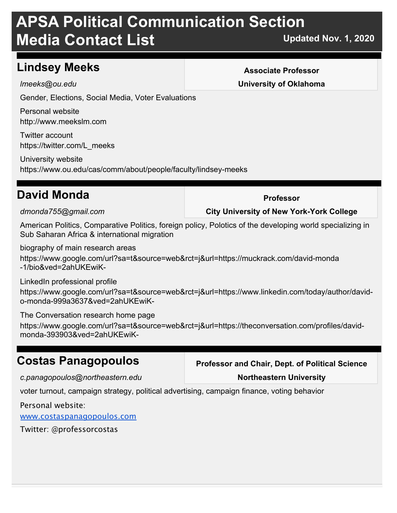## **Lindsey Meeks**

*lmeeks@ou.edu*

Gender, Elections, Social Media, Voter Evaluations

http://www.meekslm.com Personal website

https://twitter.com/L\_meeks Twitter account

https://www.ou.edu/cas/comm/about/people/faculty/lindsey-meeks University website

## **David Monda**

*dmonda755@gmail.com*

American Politics, Comparative Politics, foreign policy, Polotics of the developing world specializing in Sub Saharan Africa & international migration

biography of main research areas

https://www.google.com/url?sa=t&source=web&rct=j&url=https://muckrack.com/david-monda -1/bio&ved=2ahUKEwiK-

find a glue and for a invariant  $\theta$  and  $\theta$  is a contribution of  $\theta$  and  $\theta$  is a contribution of  $\theta$  variables  $\theta$ LinkedIn professional profile

https://www.google.com/url?sa=t&source=web&rct=j&url=https://www.linkedin.com/today/author/davido-monda-999a3637&ved=2ahUKEwiK-

 $\tau$ he Cenyapatian pada yak bana pada  $\tau$ https://www.google.com/url?sa=t&source=web&rct=j&url=https://theconversation.com/profiles/davidmonda-393903&ved=2ahUKEwiK-The Conversation research home page

## **Costas Panagopoulos**

*c.panagopoulos@northeastern.edu*

**Professor and Chair, Dept. of Political Science**

#### **Northeastern University**

voter turnout, campaign strategy, political advertising, campaign finance, voting behavior

for  $\mathcal{L}_{\mathcal{A}}$  and  $\mathcal{L}_{\mathcal{A}}$  of  $\mathcal{L}_{\mathcal{A}}$  of  $\mathcal{L}_{\mathcal{A}}$  and  $\mathcal{L}_{\mathcal{A}}$  and  $\mathcal{L}_{\mathcal{A}}$  and  $\mathcal{L}_{\mathcal{A}}$  and  $\mathcal{L}_{\mathcal{A}}$  and  $\mathcal{L}_{\mathcal{A}}$  and  $\mathcal{L}_{\mathcal{A}}$  and  $\mathcal{L}_{\mathcal{A}}$  and  $\mathcal{L}_{\mathcal$ 

Personal website:

www.costaspanagopoulos.com

Twitter: @professorcostas

#### **Associate Professor University of Oklahoma**

**Professor**

**City University of New York-York College**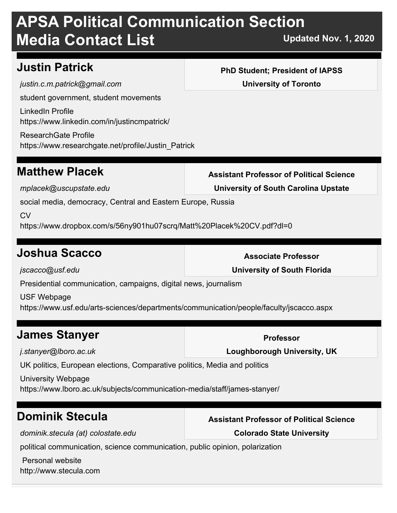## **Justin Patrick**

student government, student movements https://www.linkedin.com/in/justincmpatrick/ LinkedIn Profile *justin.c.m.patrick@gmail.com*

https://www.researchgate.net/profile/Justin\_Patrick ResearchGate Profile

## **Matthew Placek**

*mplacek@uscupstate.edu*

social media, democracy, Central and Eastern Europe, Russia

 $C<sub>V</sub>$ 

https://www.dropbox.com/s/56ny901hu07scrq/Matt%20Placek%20CV.pdf?dl=0

## **Joshua Scacco**

*jscacco@usf.edu*

Presidential communication, campaigns, digital news, journalism

https://www.usf.edu/arts-sciences/departments/communication/people/faculty/jscacco.aspx USF Webpage

## **James Stanyer**

*j.stanyer@lboro.ac.uk*

UK politics, European elections, Comparative politics, Media and politics

https://www.lboro.ac.uk/subjects/communication-media/staff/james-stanyer/ University Webpage

## **Dominik Stecula**

*dominik.stecula (at) colostate.edu*

political communication, science communication, public opinion, polarization

http://www.stecula.com Personal website

#### **PhD Student; President of IAPSS University of Toronto**

**Assistant Professor of Political Science**

**University of South Carolina Upstate**

**Associate Professor**

**University of South Florida**

**Professor**

**Loughborough University, UK**

**Assistant Professor of Political Science**

**Colorado State University**